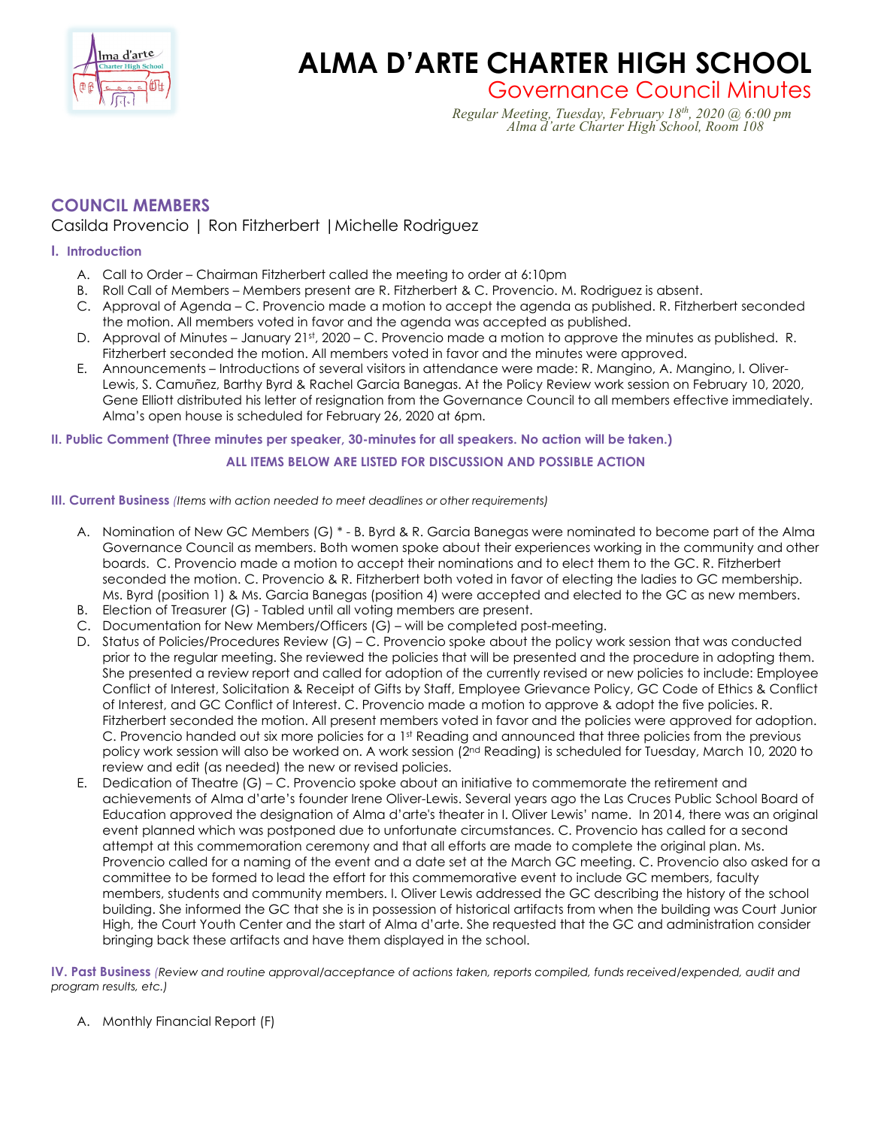

# **ALMA D'ARTE CHARTER HIGH SCHOOL**<br>Governance Council Minutes

Governance Council Minutes *Regular Meeting, Tuesday, February 18th, 2020 @ 6:00 pm Alma d'arte Charter High School, Room 108*

# **COUNCIL MEMBERS**

## Casilda Provencio | Ron Fitzherbert |Michelle Rodriguez

#### **I. Introduction**

- A. Call to Order Chairman Fitzherbert called the meeting to order at 6:10pm
- B. Roll Call of Members Members present are R. Fitzherbert & C. Provencio. M. Rodriguez is absent.
- C. Approval of Agenda C. Provencio made a motion to accept the agenda as published. R. Fitzherbert seconded the motion. All members voted in favor and the agenda was accepted as published.
- D. Approval of Minutes January 21st, 2020 C. Provencio made a motion to approve the minutes as published. R. Fitzherbert seconded the motion. All members voted in favor and the minutes were approved.
- E. Announcements Introductions of several visitors in attendance were made: R. Mangino, A. Mangino, I. Oliver-Lewis, S. Camuñez, Barthy Byrd & Rachel Garcia Banegas. At the Policy Review work session on February 10, 2020, Gene Elliott distributed his letter of resignation from the Governance Council to all members effective immediately. Alma's open house is scheduled for February 26, 2020 at 6pm.

#### **II. Public Comment (Three minutes per speaker, 30-minutes for all speakers. No action will be taken.)**

### **ALL ITEMS BELOW ARE LISTED FOR DISCUSSION AND POSSIBLE ACTION**

#### **III. Current Business** *(Items with action needed to meet deadlines or other requirements)*

- A. Nomination of New GC Members (G) \* B. Byrd & R. Garcia Banegas were nominated to become part of the Alma Governance Council as members. Both women spoke about their experiences working in the community and other boards. C. Provencio made a motion to accept their nominations and to elect them to the GC. R. Fitzherbert seconded the motion. C. Provencio & R. Fitzherbert both voted in favor of electing the ladies to GC membership. Ms. Byrd (position 1) & Ms. Garcia Banegas (position 4) were accepted and elected to the GC as new members.
- B. Election of Treasurer (G) Tabled until all voting members are present.
- C. Documentation for New Members/Officers (G) will be completed post-meeting.
- D. Status of Policies/Procedures Review (G) C. Provencio spoke about the policy work session that was conducted prior to the regular meeting. She reviewed the policies that will be presented and the procedure in adopting them. She presented a review report and called for adoption of the currently revised or new policies to include: Employee Conflict of Interest, Solicitation & Receipt of Gifts by Staff, Employee Grievance Policy, GC Code of Ethics & Conflict of Interest, and GC Conflict of Interest. C. Provencio made a motion to approve & adopt the five policies. R. Fitzherbert seconded the motion. All present members voted in favor and the policies were approved for adoption. C. Provencio handed out six more policies for a 1<sup>st</sup> Reading and announced that three policies from the previous policy work session will also be worked on. A work session (2nd Reading) is scheduled for Tuesday, March 10, 2020 to review and edit (as needed) the new or revised policies.
- E. Dedication of Theatre (G) C. Provencio spoke about an initiative to commemorate the retirement and achievements of Alma d'arte's founder Irene Oliver-Lewis. Several years ago the Las Cruces Public School Board of Education approved the designation of Alma d'arte's theater in I. Oliver Lewis' name. In 2014, there was an original event planned which was postponed due to unfortunate circumstances. C. Provencio has called for a second attempt at this commemoration ceremony and that all efforts are made to complete the original plan. Ms. Provencio called for a naming of the event and a date set at the March GC meeting. C. Provencio also asked for a committee to be formed to lead the effort for this commemorative event to include GC members, faculty members, students and community members. I. Oliver Lewis addressed the GC describing the history of the school building. She informed the GC that she is in possession of historical artifacts from when the building was Court Junior High, the Court Youth Center and the start of Alma d'arte. She requested that the GC and administration consider bringing back these artifacts and have them displayed in the school.

**IV. Past Business** *(Review and routine approval/acceptance of actions taken, reports compiled, funds received/expended, audit and program results, etc.)*

A. Monthly Financial Report (F)